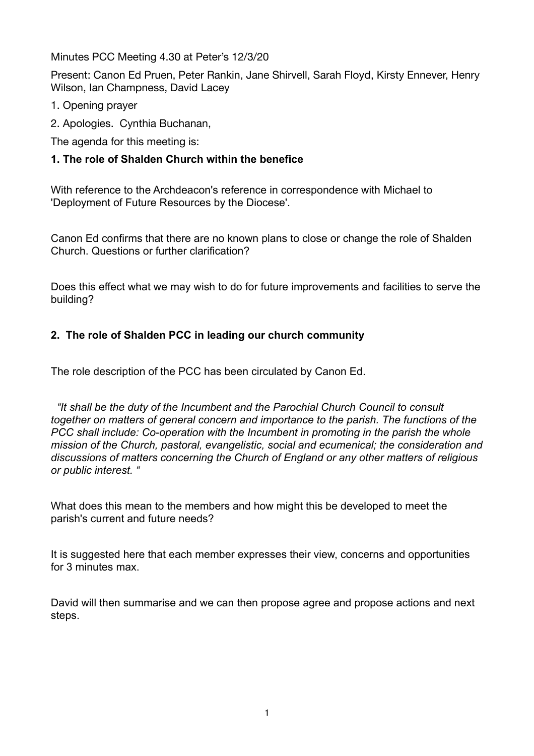Minutes PCC Meeting 4.30 at Peter's 12/3/20

Present: Canon Ed Pruen, Peter Rankin, Jane Shirvell, Sarah Floyd, Kirsty Ennever, Henry Wilson, Ian Champness, David Lacey

- 1. Opening prayer
- 2. Apologies. Cynthia Buchanan,

The agenda for this meeting is:

## **1. The role of Shalden Church within the benefice**

With reference to the Archdeacon's reference in correspondence with Michael to 'Deployment of Future Resources by the Diocese'.

Canon Ed confirms that there are no known plans to close or change the role of Shalden Church. Questions or further clarification?

Does this effect what we may wish to do for future improvements and facilities to serve the building?

## **2. The role of Shalden PCC in leading our church community**

The role description of the PCC has been circulated by Canon Ed.

 *"It shall be the duty of the Incumbent and the Parochial Church Council to consult together on matters of general concern and importance to the parish. The functions of the PCC shall include: Co-operation with the Incumbent in promoting in the parish the whole mission of the Church, pastoral, evangelistic, social and ecumenical; the consideration and discussions of matters concerning the Church of England or any other matters of religious or public interest. "* 

What does this mean to the members and how might this be developed to meet the parish's current and future needs?

It is suggested here that each member expresses their view, concerns and opportunities for 3 minutes max.

David will then summarise and we can then propose agree and propose actions and next steps.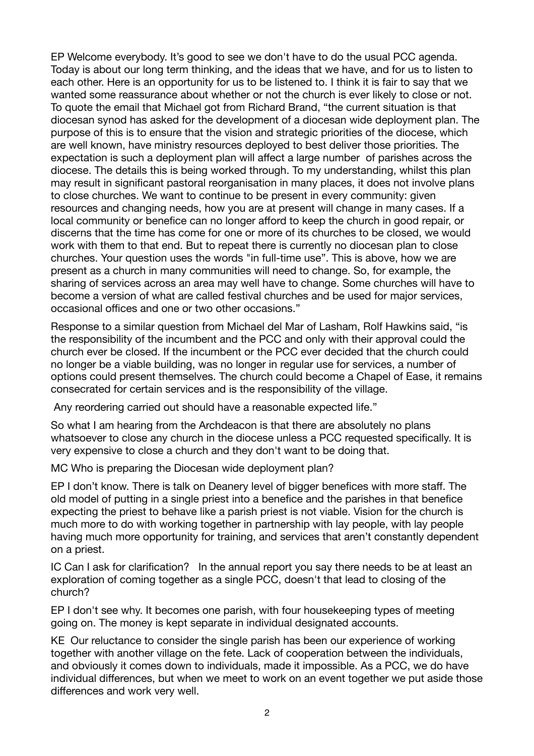EP Welcome everybody. It's good to see we don't have to do the usual PCC agenda. Today is about our long term thinking, and the ideas that we have, and for us to listen to each other. Here is an opportunity for us to be listened to. I think it is fair to say that we wanted some reassurance about whether or not the church is ever likely to close or not. To quote the email that Michael got from Richard Brand, "the current situation is that diocesan synod has asked for the development of a diocesan wide deployment plan. The purpose of this is to ensure that the vision and strategic priorities of the diocese, which are well known, have ministry resources deployed to best deliver those priorities. The expectation is such a deployment plan will affect a large number of parishes across the diocese. The details this is being worked through. To my understanding, whilst this plan may result in significant pastoral reorganisation in many places, it does not involve plans to close churches. We want to continue to be present in every community: given resources and changing needs, how you are at present will change in many cases. If a local community or benefice can no longer afford to keep the church in good repair, or discerns that the time has come for one or more of its churches to be closed, we would work with them to that end. But to repeat there is currently no diocesan plan to close churches. Your question uses the words "in full-time use". This is above, how we are present as a church in many communities will need to change. So, for example, the sharing of services across an area may well have to change. Some churches will have to become a version of what are called festival churches and be used for major services, occasional offices and one or two other occasions."

Response to a similar question from Michael del Mar of Lasham, Rolf Hawkins said, "is the responsibility of the incumbent and the PCC and only with their approval could the church ever be closed. If the incumbent or the PCC ever decided that the church could no longer be a viable building, was no longer in regular use for services, a number of options could present themselves. The church could become a Chapel of Ease, it remains consecrated for certain services and is the responsibility of the village.

Any reordering carried out should have a reasonable expected life."

So what I am hearing from the Archdeacon is that there are absolutely no plans whatsoever to close any church in the diocese unless a PCC requested specifically. It is very expensive to close a church and they don't want to be doing that.

MC Who is preparing the Diocesan wide deployment plan?

EP I don't know. There is talk on Deanery level of bigger benefices with more staff. The old model of putting in a single priest into a benefice and the parishes in that benefice expecting the priest to behave like a parish priest is not viable. Vision for the church is much more to do with working together in partnership with lay people, with lay people having much more opportunity for training, and services that aren't constantly dependent on a priest.

IC Can I ask for clarification? In the annual report you say there needs to be at least an exploration of coming together as a single PCC, doesn't that lead to closing of the church?

EP I don't see why. It becomes one parish, with four housekeeping types of meeting going on. The money is kept separate in individual designated accounts.

KE Our reluctance to consider the single parish has been our experience of working together with another village on the fete. Lack of cooperation between the individuals, and obviously it comes down to individuals, made it impossible. As a PCC, we do have individual differences, but when we meet to work on an event together we put aside those differences and work very well.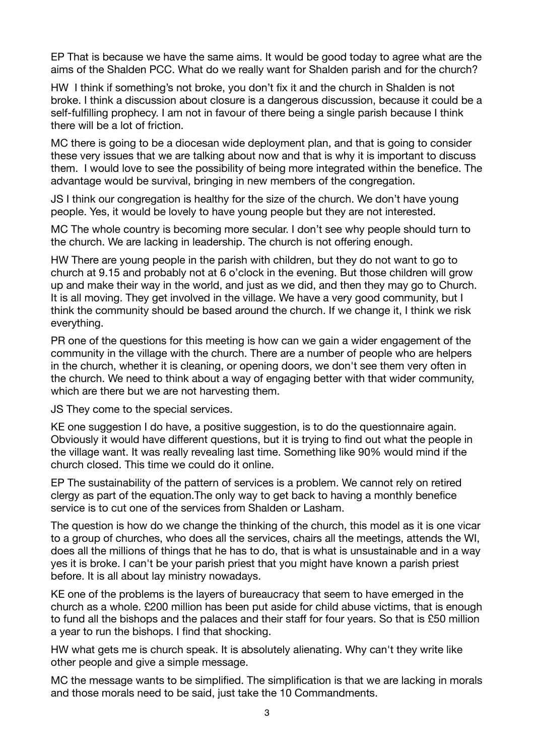EP That is because we have the same aims. It would be good today to agree what are the aims of the Shalden PCC. What do we really want for Shalden parish and for the church?

HW I think if something's not broke, you don't fix it and the church in Shalden is not broke. I think a discussion about closure is a dangerous discussion, because it could be a self-fulfilling prophecy. I am not in favour of there being a single parish because I think there will be a lot of friction.

MC there is going to be a diocesan wide deployment plan, and that is going to consider these very issues that we are talking about now and that is why it is important to discuss them. I would love to see the possibility of being more integrated within the benefice. The advantage would be survival, bringing in new members of the congregation.

JS I think our congregation is healthy for the size of the church. We don't have young people. Yes, it would be lovely to have young people but they are not interested.

MC The whole country is becoming more secular. I don't see why people should turn to the church. We are lacking in leadership. The church is not offering enough.

HW There are young people in the parish with children, but they do not want to go to church at 9.15 and probably not at 6 o'clock in the evening. But those children will grow up and make their way in the world, and just as we did, and then they may go to Church. It is all moving. They get involved in the village. We have a very good community, but I think the community should be based around the church. If we change it, I think we risk everything.

PR one of the questions for this meeting is how can we gain a wider engagement of the community in the village with the church. There are a number of people who are helpers in the church, whether it is cleaning, or opening doors, we don't see them very often in the church. We need to think about a way of engaging better with that wider community, which are there but we are not harvesting them.

JS They come to the special services.

KE one suggestion I do have, a positive suggestion, is to do the questionnaire again. Obviously it would have different questions, but it is trying to find out what the people in the village want. It was really revealing last time. Something like 90% would mind if the church closed. This time we could do it online.

EP The sustainability of the pattern of services is a problem. We cannot rely on retired clergy as part of the equation.The only way to get back to having a monthly benefice service is to cut one of the services from Shalden or Lasham.

The question is how do we change the thinking of the church, this model as it is one vicar to a group of churches, who does all the services, chairs all the meetings, attends the WI, does all the millions of things that he has to do, that is what is unsustainable and in a way yes it is broke. I can't be your parish priest that you might have known a parish priest before. It is all about lay ministry nowadays.

KE one of the problems is the layers of bureaucracy that seem to have emerged in the church as a whole. £200 million has been put aside for child abuse victims, that is enough to fund all the bishops and the palaces and their staff for four years. So that is £50 million a year to run the bishops. I find that shocking.

HW what gets me is church speak. It is absolutely alienating. Why can't they write like other people and give a simple message.

MC the message wants to be simplified. The simplification is that we are lacking in morals and those morals need to be said, just take the 10 Commandments.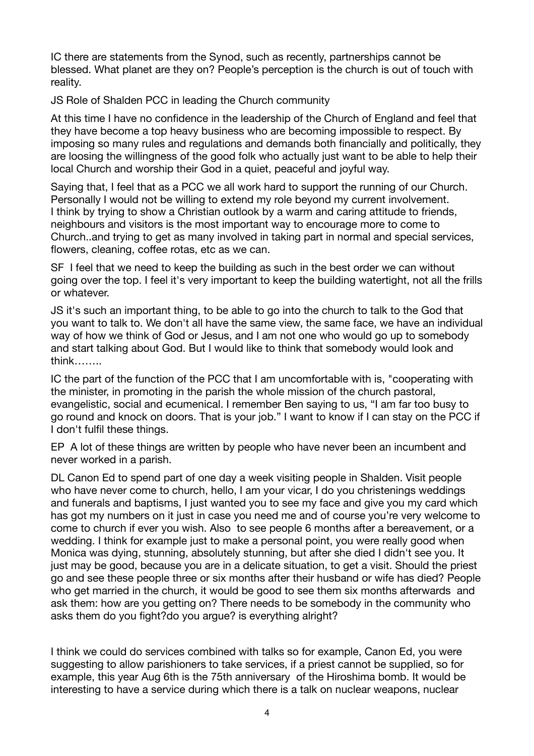IC there are statements from the Synod, such as recently, partnerships cannot be blessed. What planet are they on? People's perception is the church is out of touch with reality.

JS Role of Shalden PCC in leading the Church community

At this time I have no confidence in the leadership of the Church of England and feel that they have become a top heavy business who are becoming impossible to respect. By imposing so many rules and regulations and demands both financially and politically, they are loosing the willingness of the good folk who actually just want to be able to help their local Church and worship their God in a quiet, peaceful and joyful way.

Saying that, I feel that as a PCC we all work hard to support the running of our Church. Personally I would not be willing to extend my role beyond my current involvement. I think by trying to show a Christian outlook by a warm and caring attitude to friends, neighbours and visitors is the most important way to encourage more to come to Church..and trying to get as many involved in taking part in normal and special services, flowers, cleaning, coffee rotas, etc as we can.

SF I feel that we need to keep the building as such in the best order we can without going over the top. I feel it's very important to keep the building watertight, not all the frills or whatever.

JS it's such an important thing, to be able to go into the church to talk to the God that you want to talk to. We don't all have the same view, the same face, we have an individual way of how we think of God or Jesus, and I am not one who would go up to somebody and start talking about God. But I would like to think that somebody would look and think……..

IC the part of the function of the PCC that I am uncomfortable with is, "cooperating with the minister, in promoting in the parish the whole mission of the church pastoral, evangelistic, social and ecumenical. I remember Ben saying to us, "I am far too busy to go round and knock on doors. That is your job." I want to know if I can stay on the PCC if I don't fulfil these things.

EP A lot of these things are written by people who have never been an incumbent and never worked in a parish.

DL Canon Ed to spend part of one day a week visiting people in Shalden. Visit people who have never come to church, hello, I am your vicar, I do you christenings weddings and funerals and baptisms, I just wanted you to see my face and give you my card which has got my numbers on it just in case you need me and of course you're very welcome to come to church if ever you wish. Also to see people 6 months after a bereavement, or a wedding. I think for example just to make a personal point, you were really good when Monica was dying, stunning, absolutely stunning, but after she died I didn't see you. It just may be good, because you are in a delicate situation, to get a visit. Should the priest go and see these people three or six months after their husband or wife has died? People who get married in the church, it would be good to see them six months afterwards and ask them: how are you getting on? There needs to be somebody in the community who asks them do you fight?do you argue? is everything alright?

I think we could do services combined with talks so for example, Canon Ed, you were suggesting to allow parishioners to take services, if a priest cannot be supplied, so for example, this year Aug 6th is the 75th anniversary of the Hiroshima bomb. It would be interesting to have a service during which there is a talk on nuclear weapons, nuclear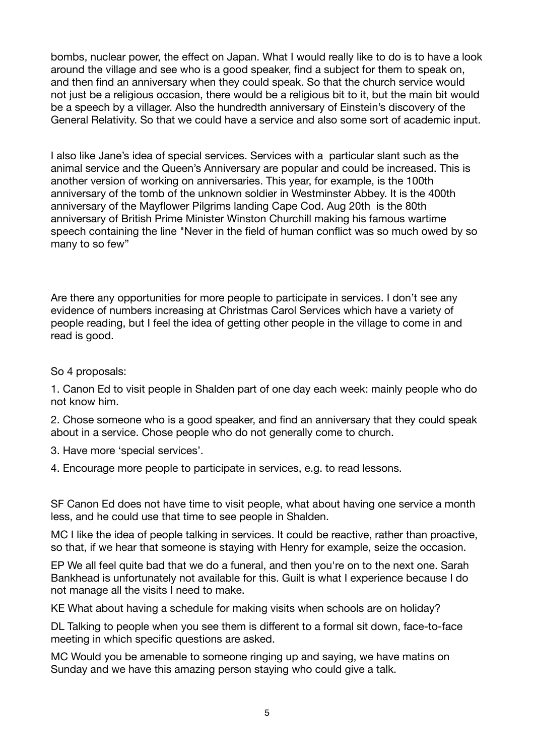bombs, nuclear power, the effect on Japan. What I would really like to do is to have a look around the village and see who is a good speaker, find a subject for them to speak on, and then find an anniversary when they could speak. So that the church service would not just be a religious occasion, there would be a religious bit to it, but the main bit would be a speech by a villager. Also the hundredth anniversary of Einstein's discovery of the General Relativity. So that we could have a service and also some sort of academic input.

I also like Jane's idea of special services. Services with a particular slant such as the animal service and the Queen's Anniversary are popular and could be increased. This is another version of working on anniversaries. This year, for example, is the 100th anniversary of the tomb of the unknown soldier in Westminster Abbey. It is the 400th anniversary of the Mayflower Pilgrims landing Cape Cod. Aug 20th is the 80th anniversary of British Prime Minister Winston Churchill making his famous wartime speech containing the line "Never in the field of human conflict was so much owed by so many to so few"

Are there any opportunities for more people to participate in services. I don't see any evidence of numbers increasing at Christmas Carol Services which have a variety of people reading, but I feel the idea of getting other people in the village to come in and read is good.

So 4 proposals:

1. Canon Ed to visit people in Shalden part of one day each week: mainly people who do not know him.

2. Chose someone who is a good speaker, and find an anniversary that they could speak about in a service. Chose people who do not generally come to church.

3. Have more 'special services'.

4. Encourage more people to participate in services, e.g. to read lessons.

SF Canon Ed does not have time to visit people, what about having one service a month less, and he could use that time to see people in Shalden.

MC I like the idea of people talking in services. It could be reactive, rather than proactive, so that, if we hear that someone is staying with Henry for example, seize the occasion.

EP We all feel quite bad that we do a funeral, and then you're on to the next one. Sarah Bankhead is unfortunately not available for this. Guilt is what I experience because I do not manage all the visits I need to make.

KE What about having a schedule for making visits when schools are on holiday?

DL Talking to people when you see them is different to a formal sit down, face-to-face meeting in which specific questions are asked.

MC Would you be amenable to someone ringing up and saying, we have matins on Sunday and we have this amazing person staying who could give a talk.